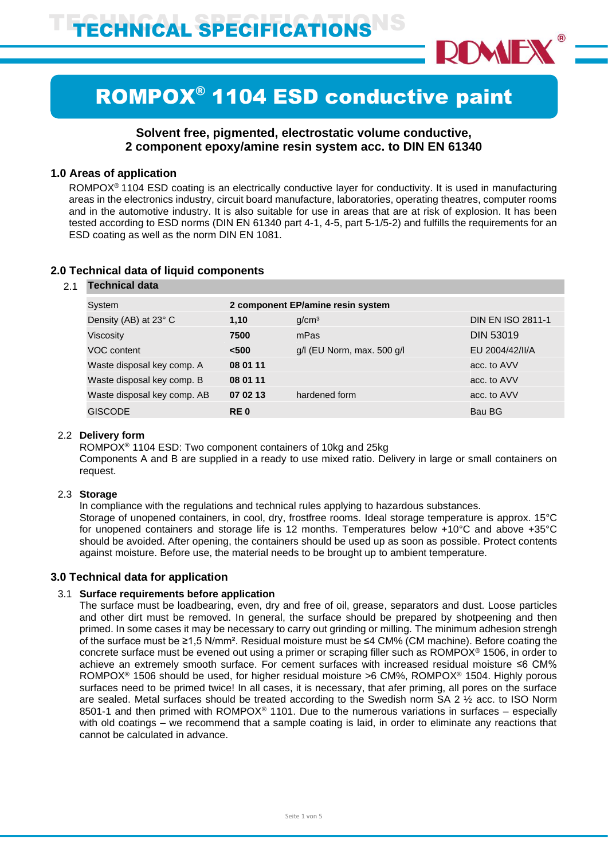

## ROMPOX® 1104 ESD conductive paint

### **Solvent free, pigmented, electrostatic volume conductive, 2 component epoxy/amine resin system acc. to DIN EN 61340**

#### **1.0 Areas of application**

ROMPOX<sup>®</sup> 1104 ESD coating is an electrically conductive layer for conductivity. It is used in manufacturing areas in the electronics industry, circuit board manufacture, laboratories, operating theatres, computer rooms and in the automotive industry. It is also suitable for use in areas that are at risk of explosion. It has been tested according to ESD norms (DIN EN 61340 part 4-1, 4-5, part 5-1/5-2) and fulfills the requirements for an ESD coating as well as the norm DIN EN 1081.

| 2.1 | <b>Technical data</b>       |          |                                   |                          |
|-----|-----------------------------|----------|-----------------------------------|--------------------------|
|     | System                      |          | 2 component EP/amine resin system |                          |
|     | Density (AB) at 23° C       | 1,10     | q/cm <sup>3</sup>                 | <b>DIN EN ISO 2811-1</b> |
|     | Viscosity                   | 7500     | mPas                              | <b>DIN 53019</b>         |
|     | VOC content                 | < 500    | $g/l$ (EU Norm, max. 500 $g/l$    | EU 2004/42/II/A          |
|     | Waste disposal key comp. A  | 08 01 11 |                                   | acc. to AVV              |
|     | Waste disposal key comp. B  | 08 01 11 |                                   | acc. to AVV              |
|     | Waste disposal key comp. AB | 07 02 13 | hardened form                     | acc. to AVV              |
|     | <b>GISCODE</b>              | RE 0     |                                   | Bau BG                   |
|     |                             |          |                                   |                          |

#### **2.0 Technical data of liquid components**

#### 2.2 **Delivery form**

ROMPOX® 1104 ESD: Two component containers of 10kg and 25kg

Components A and B are supplied in a ready to use mixed ratio. Delivery in large or small containers on request.

#### 2.3 **Storage**

In compliance with the regulations and technical rules applying to hazardous substances. Storage of unopened containers, in cool, dry, frostfree rooms. Ideal storage temperature is approx. 15°C for unopened containers and storage life is 12 months. Temperatures below +10°C and above +35°C should be avoided. After opening, the containers should be used up as soon as possible. Protect contents against moisture. Before use, the material needs to be brought up to ambient temperature.

#### **3.0 Technical data for application**

#### 3.1 **Surface requirements before application**

The surface must be loadbearing, even, dry and free of oil, grease, separators and dust. Loose particles and other dirt must be removed. In general, the surface should be prepared by shotpeening and then primed. In some cases it may be necessary to carry out grinding or milling. The minimum adhesion strengh of the surface must be ≥1,5 N/mm². Residual moisture must be ≤4 CM% (CM machine). Before coating the concrete surface must be evened out using a primer or scraping filler such as ROMPOX® 1506, in order to achieve an extremely smooth surface. For cement surfaces with increased residual moisture ≤6 CM% ROMPOX® 1506 should be used, for higher residual moisture >6 CM%, ROMPOX® 1504. Highly porous surfaces need to be primed twice! In all cases, it is necessary, that afer priming, all pores on the surface are sealed. Metal surfaces should be treated according to the Swedish norm SA 2 ½ acc. to ISO Norm 8501-1 and then primed with ROMPOX<sup>®</sup> 1101. Due to the numerous variations in surfaces – especially with old coatings – we recommend that a sample coating is laid, in order to eliminate any reactions that cannot be calculated in advance.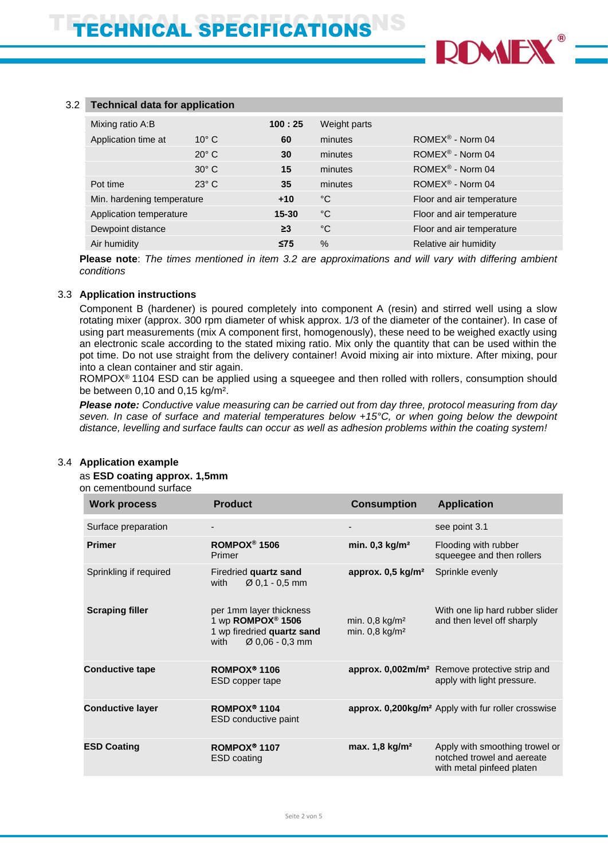

#### 3.2 **Technical data for application**

| Mixing ratio A:B           |                | 100:25    | Weight parts |                              |
|----------------------------|----------------|-----------|--------------|------------------------------|
| Application time at        | $10^{\circ}$ C | 60        | minutes      | ROMEX <sup>®</sup> - Norm 04 |
|                            | $20^\circ$ C   | 30        | minutes      | ROMEX <sup>®</sup> - Norm 04 |
|                            | $30^\circ$ C   | 15        | minutes      | ROMEX <sup>®</sup> - Norm 04 |
| Pot time                   | $23^\circ$ C   | 35        | minutes      | ROMEX <sup>®</sup> - Norm 04 |
| Min. hardening temperature |                | $+10$     | °C           | Floor and air temperature    |
| Application temperature    |                | $15 - 30$ | $^{\circ}$ C | Floor and air temperature    |
| Dewpoint distance          |                | $\geq$ 3  | $^{\circ}$ C | Floor and air temperature    |
| Air humidity               |                | $\leq$ 75 | $\%$         | Relative air humidity        |

**Please note**: *The times mentioned in item 3.2 are approximations and will vary with differing ambient conditions*

#### 3.3 **Application instructions**

Component B (hardener) is poured completely into component A (resin) and stirred well using a slow rotating mixer (approx. 300 rpm diameter of whisk approx. 1/3 of the diameter of the container). In case of using part measurements (mix A component first, homogenously), these need to be weighed exactly using an electronic scale according to the stated mixing ratio. Mix only the quantity that can be used within the pot time. Do not use straight from the delivery container! Avoid mixing air into mixture. After mixing, pour into a clean container and stir again.

ROMPOX<sup>®</sup> 1104 ESD can be applied using a squeegee and then rolled with rollers, consumption should be between 0,10 and 0,15 kg/m².

*Please note: Conductive value measuring can be carried out from day three, protocol measuring from day seven. In case of surface and material temperatures below +15°C, or when going below the dewpoint distance, levelling and surface faults can occur as well as adhesion problems within the coating system!*

#### 3.4 **Application example**

#### as **ESD coating approx. 1,5mm**

on cementbound surface

| <b>Work process</b>     | <b>Product</b>                                                                                                    | <b>Consumption</b>                                           | <b>Application</b>                                                                        |
|-------------------------|-------------------------------------------------------------------------------------------------------------------|--------------------------------------------------------------|-------------------------------------------------------------------------------------------|
| Surface preparation     |                                                                                                                   |                                                              | see point 3.1                                                                             |
| <b>Primer</b>           | ROMPOX <sup>®</sup> 1506<br>Primer                                                                                | min. $0,3$ kg/m <sup>2</sup>                                 | Flooding with rubber<br>squeegee and then rollers                                         |
| Sprinkling if required  | Firedried quartz sand<br>$\varnothing$ 0,1 - 0,5 mm<br>with                                                       | approx. $0,5$ kg/m <sup>2</sup>                              | Sprinkle evenly                                                                           |
| <b>Scraping filler</b>  | per 1mm layer thickness<br>1 wp ROMPOX <sup>®</sup> 1506<br>1 wp firedried quartz sand<br>Ø 0,06 - 0,3 mm<br>with | min. $0,8$ kg/m <sup>2</sup><br>min. $0,8$ kg/m <sup>2</sup> | With one lip hard rubber slider<br>and then level off sharply                             |
| <b>Conductive tape</b>  | ROMPOX <sup>®</sup> 1106<br>ESD copper tape                                                                       |                                                              | approx. 0,002m/m <sup>2</sup> Remove protective strip and<br>apply with light pressure.   |
| <b>Conductive layer</b> | ROMPOX <sup>®</sup> 1104<br>ESD conductive paint                                                                  |                                                              | approx. 0,200kg/m <sup>2</sup> Apply with fur roller crosswise                            |
| <b>ESD Coating</b>      | ROMPOX <sup>®</sup> 1107<br><b>ESD</b> coating                                                                    | max. 1,8 kg/m <sup>2</sup>                                   | Apply with smoothing trowel or<br>notched trowel and aereate<br>with metal pinfeed platen |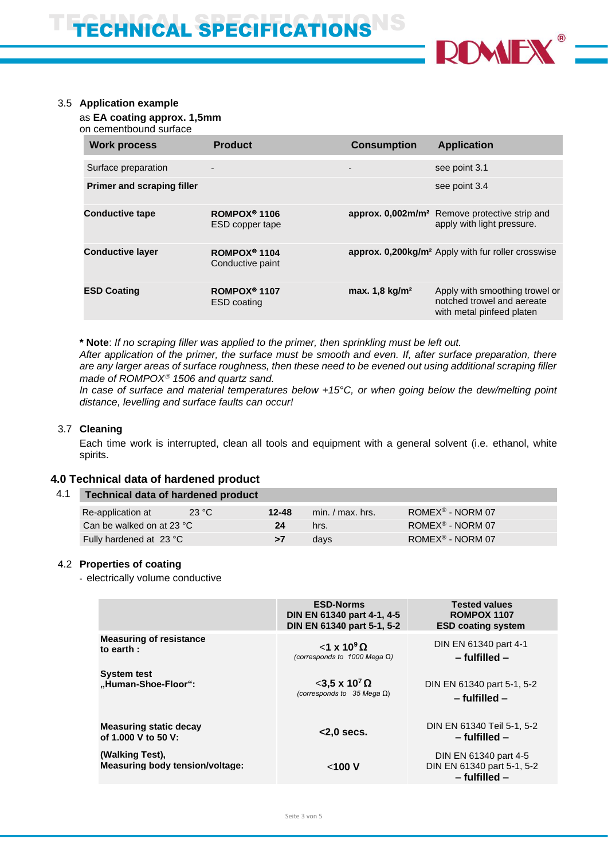

#### 3.5 **Application example**

as **EA coating approx. 1,5mm** on cementbound surface

| <b>Work process</b>               | <b>Product</b>                                 | <b>Consumption</b>         | <b>Application</b>                                                                        |
|-----------------------------------|------------------------------------------------|----------------------------|-------------------------------------------------------------------------------------------|
| Surface preparation               | $\blacksquare$                                 |                            | see point 3.1                                                                             |
| <b>Primer and scraping filler</b> |                                                |                            | see point 3.4                                                                             |
| <b>Conductive tape</b>            | ROMPOX <sup>®</sup> 1106<br>ESD copper tape    |                            | approx. 0,002m/m <sup>2</sup> Remove protective strip and<br>apply with light pressure.   |
| <b>Conductive layer</b>           | ROMPOX <sup>®</sup> 1104<br>Conductive paint   |                            | approx. 0,200kg/m <sup>2</sup> Apply with fur roller crosswise                            |
| <b>ESD Coating</b>                | ROMPOX <sup>®</sup> 1107<br><b>ESD</b> coating | max. 1,8 kg/m <sup>2</sup> | Apply with smoothing trowel or<br>notched trowel and aereate<br>with metal pinfeed platen |

**\* Note**: *If no scraping filler was applied to the primer, then sprinkling must be left out. After application of the primer, the surface must be smooth and even. If, after surface preparation, there are any larger areas of surface roughness, then these need to be evened out using additional scraping filler made of ROMPOX<sup>®</sup> 1506 and quartz sand.* 

*In case of surface and material temperatures below +15°C, or when going below the dew/melting point distance, levelling and surface faults can occur!*

#### 3.7 **Cleaning**

Each time work is interrupted, clean all tools and equipment with a general solvent (i.e. ethanol, white spirits.

#### **4.0 Technical data of hardened product**

#### 4.1 **Technical data of hardened product**

| Re-application at         | 23 °C | 12-48 | min. / max. hrs. | ROMEX <sup>®</sup> - NORM 07 |
|---------------------------|-------|-------|------------------|------------------------------|
| Can be walked on at 23 °C |       | 24    | hrs.             | ROMEX <sup>®</sup> - NORM 07 |
| Fully hardened at 23 °C   |       |       | davs             | ROMEX <sup>®</sup> - NORM 07 |

#### 4.2 **Properties of coating**

- electrically volume conductive

|                                                      | <b>ESD-Norms</b><br>DIN EN 61340 part 4-1, 4-5<br>DIN EN 61340 part 5-1, 5-2 | <b>Tested values</b><br><b>ROMPOX 1107</b><br><b>ESD coating system</b>  |
|------------------------------------------------------|------------------------------------------------------------------------------|--------------------------------------------------------------------------|
| <b>Measuring of resistance</b><br>to earth:          | $<$ 1 x 10 <sup>9</sup> $\Omega$<br>(corresponds to 1000 Mega $\Omega$ )     | DIN EN 61340 part 4-1<br>$-$ fulfilled $-$                               |
| <b>System test</b><br>"Human-Shoe-Floor":            | $<$ 3,5 x 10 <sup>7</sup> $\Omega$<br>(corresponds to 35 Mega $\Omega$ )     | DIN EN 61340 part 5-1, 5-2<br>- fulfilled -                              |
| <b>Measuring static decay</b><br>of 1.000 V to 50 V: | $<$ 2,0 secs.                                                                | DIN EN 61340 Teil 5-1, 5-2<br>- fulfilled -                              |
| (Walking Test),<br>Measuring body tension/voltage:   | $<$ 100 V                                                                    | DIN EN 61340 part 4-5<br>DIN EN 61340 part 5-1, 5-2<br>$-$ fulfilled $-$ |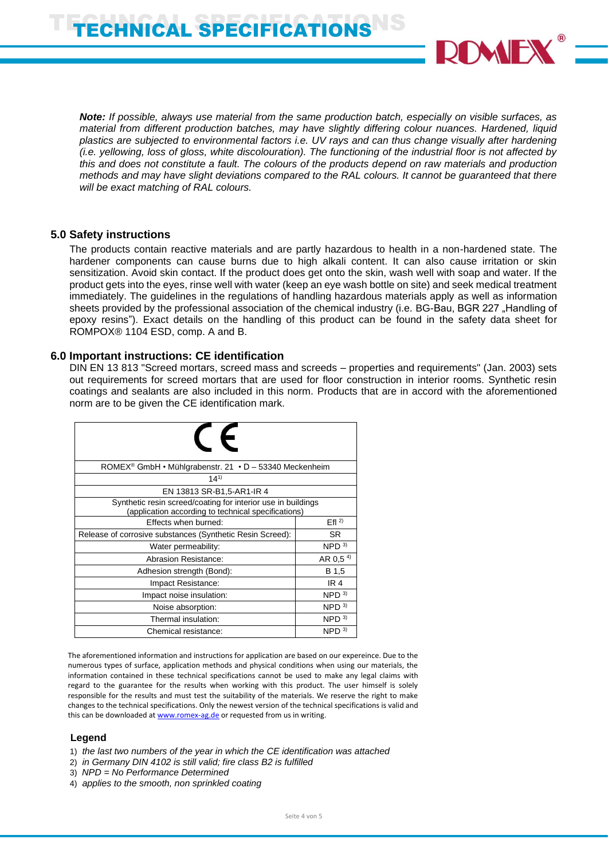*Note: If possible, always use material from the same production batch, especially on visible surfaces, as material from different production batches, may have slightly differing colour nuances. Hardened, liquid plastics are subjected to environmental factors i.e. UV rays and can thus change visually after hardening (i.e. yellowing, loss of gloss, white discolouration). The functioning of the industrial floor is not affected by this and does not constitute a fault. The colours of the products depend on raw materials and production methods and may have slight deviations compared to the RAL colours. It cannot be guaranteed that there will be exact matching of RAL colours.*

#### **5.0 Safety instructions**

The products contain reactive materials and are partly hazardous to health in a non-hardened state. The hardener components can cause burns due to high alkali content. It can also cause irritation or skin sensitization. Avoid skin contact. If the product does get onto the skin, wash well with soap and water. If the product gets into the eyes, rinse well with water (keep an eye wash bottle on site) and seek medical treatment immediately. The guidelines in the regulations of handling hazardous materials apply as well as information sheets provided by the professional association of the chemical industry (i.e. BG-Bau, BGR 227 "Handling of epoxy resins"). Exact details on the handling of this product can be found in the safety data sheet for ROMPOX® 1104 ESD, comp. A and B.

#### **6.0 Important instructions: CE identification**

DIN EN 13 813 "Screed mortars, screed mass and screeds – properties and requirements" (Jan. 2003) sets out requirements for screed mortars that are used for floor construction in interior rooms. Synthetic resin coatings and sealants are also included in this norm. Products that are in accord with the aforementioned norm are to be given the CE identification mark.

| r e                                                                                                                 |                      |  |  |
|---------------------------------------------------------------------------------------------------------------------|----------------------|--|--|
| ROMEX <sup>®</sup> GmbH • Mühlgrabenstr. 21 • D - 53340 Meckenheim                                                  |                      |  |  |
| $14^{1}$                                                                                                            |                      |  |  |
| EN 13813 SR-B1,5-AR1-IR 4                                                                                           |                      |  |  |
| Synthetic resin screed/coating for interior use in buildings<br>(application according to technical specifications) |                      |  |  |
| Effects when burned:                                                                                                | Efl <sup>2</sup>     |  |  |
| Release of corrosive substances (Synthetic Resin Screed):                                                           | SR.                  |  |  |
| Water permeability:                                                                                                 | NPD <sup>3</sup>     |  |  |
| Abrasion Resistance:                                                                                                | AR 0,5 <sup>4)</sup> |  |  |
| Adhesion strength (Bond):                                                                                           | B 1,5                |  |  |
| Impact Resistance:                                                                                                  | IR <sub>4</sub>      |  |  |
| Impact noise insulation:                                                                                            | NPD <sup>3</sup>     |  |  |
| Noise absorption:                                                                                                   | NPD <sup>3</sup>     |  |  |
| Thermal insulation:                                                                                                 | NPD <sup>3</sup>     |  |  |
| Chemical resistance:                                                                                                | NPD <sup>3</sup>     |  |  |

The aforementioned information and instructions for application are based on our expereince. Due to the numerous types of surface, application methods and physical conditions when using our materials, the information contained in these technical specifications cannot be used to make any legal claims with regard to the guarantee for the results when working with this product. The user himself is solely responsible for the results and must test the suitability of the materials. We reserve the right to make changes to the technical specifications. Only the newest version of the technical specifications is valid and this can be downloaded at [www.romex-ag.de](http://www.romex-ag.de/) or requested from us in writing.

#### **Legend**

- 1) *the last two numbers of the year in which the CE identification was attached*
- 2) *in Germany DIN 4102 is still valid; fire class B2 is fulfilled*
- 3) *NPD = No Performance Determined*
- 4) *applies to the smooth, non sprinkled coating*